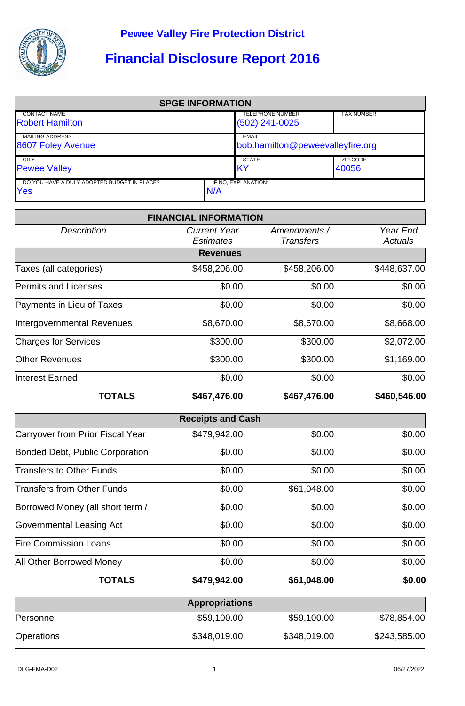

## **Financial Disclosure Report 2016**

| <b>SPGE INFORMATION</b>                       |     |                                             |                   |  |  |
|-----------------------------------------------|-----|---------------------------------------------|-------------------|--|--|
| <b>CONTACT NAME</b><br><b>Robert Hamilton</b> |     | <b>TELEPHONE NUMBER</b><br>$(502)$ 241-0025 | <b>FAX NUMBER</b> |  |  |
|                                               |     |                                             |                   |  |  |
| <b>MAILING ADDRESS</b>                        |     | <b>EMAIL</b>                                |                   |  |  |
| 8607 Foley Avenue                             |     | bob.hamilton@peweevalleyfire.org            |                   |  |  |
| <b>CITY</b>                                   |     | <b>STATE</b>                                | ZIP CODE          |  |  |
| <b>Pewee Valley</b>                           |     | IKY                                         | 40056             |  |  |
| DO YOU HAVE A DULY ADOPTED BUDGET IN PLACE?   |     | IF NO. EXPLANATION:                         |                   |  |  |
| Yes                                           | N/A |                                             |                   |  |  |

|                                        | <b>FINANCIAL INFORMATION</b>            |                                  |                            |
|----------------------------------------|-----------------------------------------|----------------------------------|----------------------------|
| <b>Description</b>                     | <b>Current Year</b><br><b>Estimates</b> | Amendments /<br><b>Transfers</b> | Year End<br><b>Actuals</b> |
|                                        | <b>Revenues</b>                         |                                  |                            |
| Taxes (all categories)                 | \$458,206.00                            | \$458,206.00                     | \$448,637.00               |
| <b>Permits and Licenses</b>            | \$0.00                                  | \$0.00                           | \$0.00                     |
| Payments in Lieu of Taxes              | \$0.00                                  | \$0.00                           | \$0.00                     |
| <b>Intergovernmental Revenues</b>      | \$8,670.00                              | \$8,670.00                       | \$8,668.00                 |
| <b>Charges for Services</b>            | \$300.00                                | \$300.00                         | \$2,072.00                 |
| <b>Other Revenues</b>                  | \$300.00                                | \$300.00                         | \$1,169.00                 |
| <b>Interest Earned</b>                 | \$0.00                                  | \$0.00                           | \$0.00                     |
| <b>TOTALS</b>                          | \$467,476.00                            | \$467,476.00                     | \$460,546.00               |
|                                        | <b>Receipts and Cash</b>                |                                  |                            |
| Carryover from Prior Fiscal Year       | \$479,942.00                            | \$0.00                           | \$0.00                     |
| <b>Bonded Debt, Public Corporation</b> | \$0.00                                  | \$0.00                           | \$0.00                     |
| <b>Transfers to Other Funds</b>        | \$0.00                                  | \$0.00                           | \$0.00                     |
| <b>Transfers from Other Funds</b>      | \$0.00                                  | \$61,048.00                      | \$0.00                     |
| Borrowed Money (all short term /       | \$0.00                                  | \$0.00                           | \$0.00                     |
| <b>Governmental Leasing Act</b>        | \$0.00                                  | \$0.00                           | \$0.00                     |
| <b>Fire Commission Loans</b>           | \$0.00                                  | \$0.00                           | \$0.00                     |
| All Other Borrowed Money               | \$0.00                                  | \$0.00                           | \$0.00                     |
| <b>TOTALS</b>                          | \$479,942.00                            | \$61,048.00                      | \$0.00                     |
|                                        | <b>Appropriations</b>                   |                                  |                            |
| Personnel                              | \$59,100.00                             | \$59,100.00                      | \$78,854.00                |
| Operations                             | \$348,019.00                            | \$348,019.00                     | \$243,585.00               |